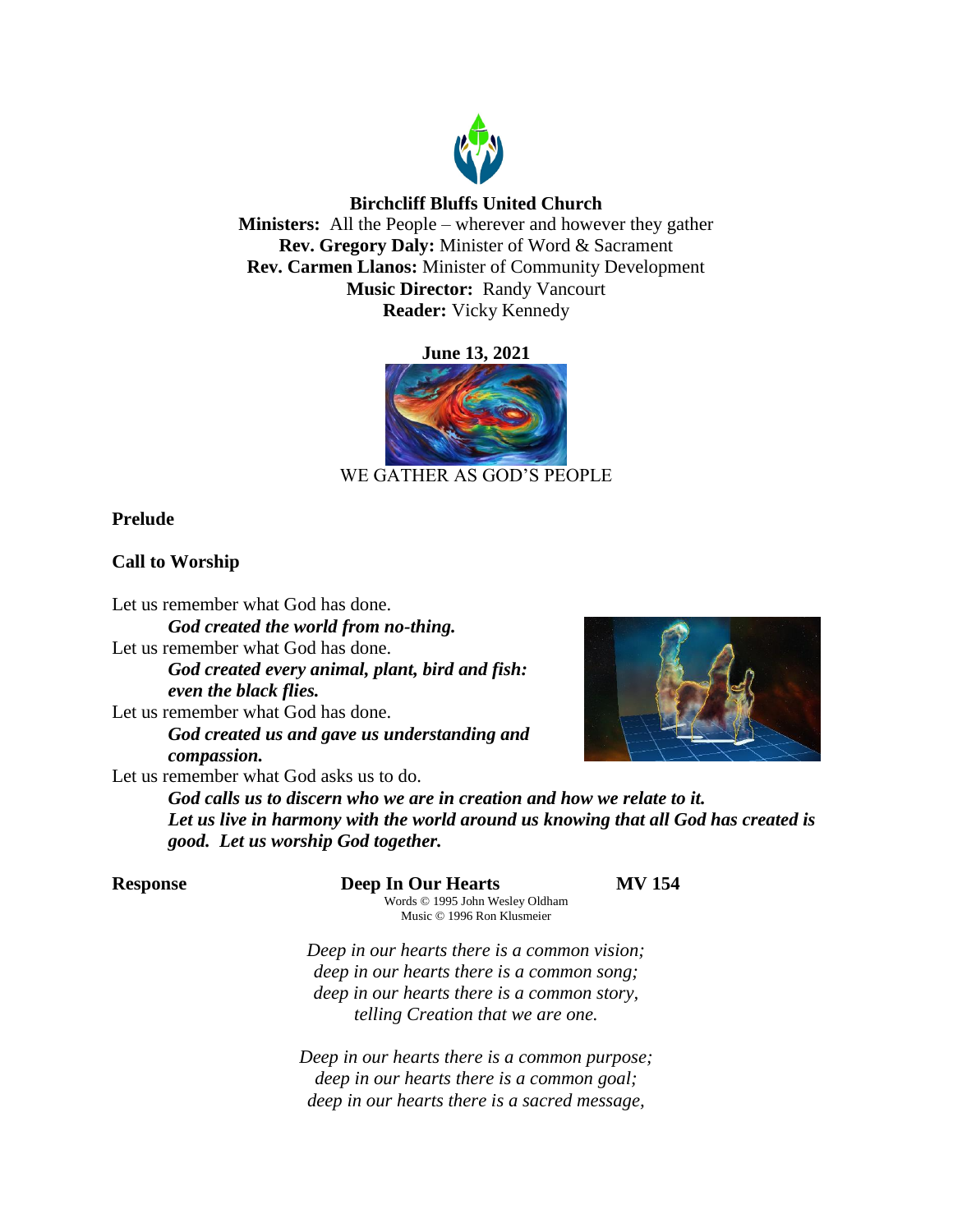

# **Birchcliff Bluffs United Church**

**Ministers:** All the People – wherever and however they gather **Rev. Gregory Daly:** Minister of Word & Sacrament **Rev. Carmen Llanos:** Minister of Community Development **Music Director:** Randy Vancourt **Reader:** Vicky Kennedy

**June 13, 2021**



# WE GATHER AS GOD'S PEOPLE

# **Prelude**

# **Call to Worship**

Let us remember what God has done.

*God created the world from no-thing.* Let us remember what God has done. *God created every animal, plant, bird and fish: even the black flies.* Let us remember what God has done.

*God created us and gave us understanding and compassion.*



Let us remember what God asks us to do.

*God calls us to discern who we are in creation and how we relate to it. Let us live in harmony with the world around us knowing that all God has created is good. Let us worship God together.*

**Response Deep In Our Hearts MV 154**

Words © 1995 John Wesley Oldham Music © 1996 Ron Klusmeier

*Deep in our hearts there is a common vision; deep in our hearts there is a common song; deep in our hearts there is a common story, telling Creation that we are one.*

*Deep in our hearts there is a common purpose; deep in our hearts there is a common goal; deep in our hearts there is a sacred message,*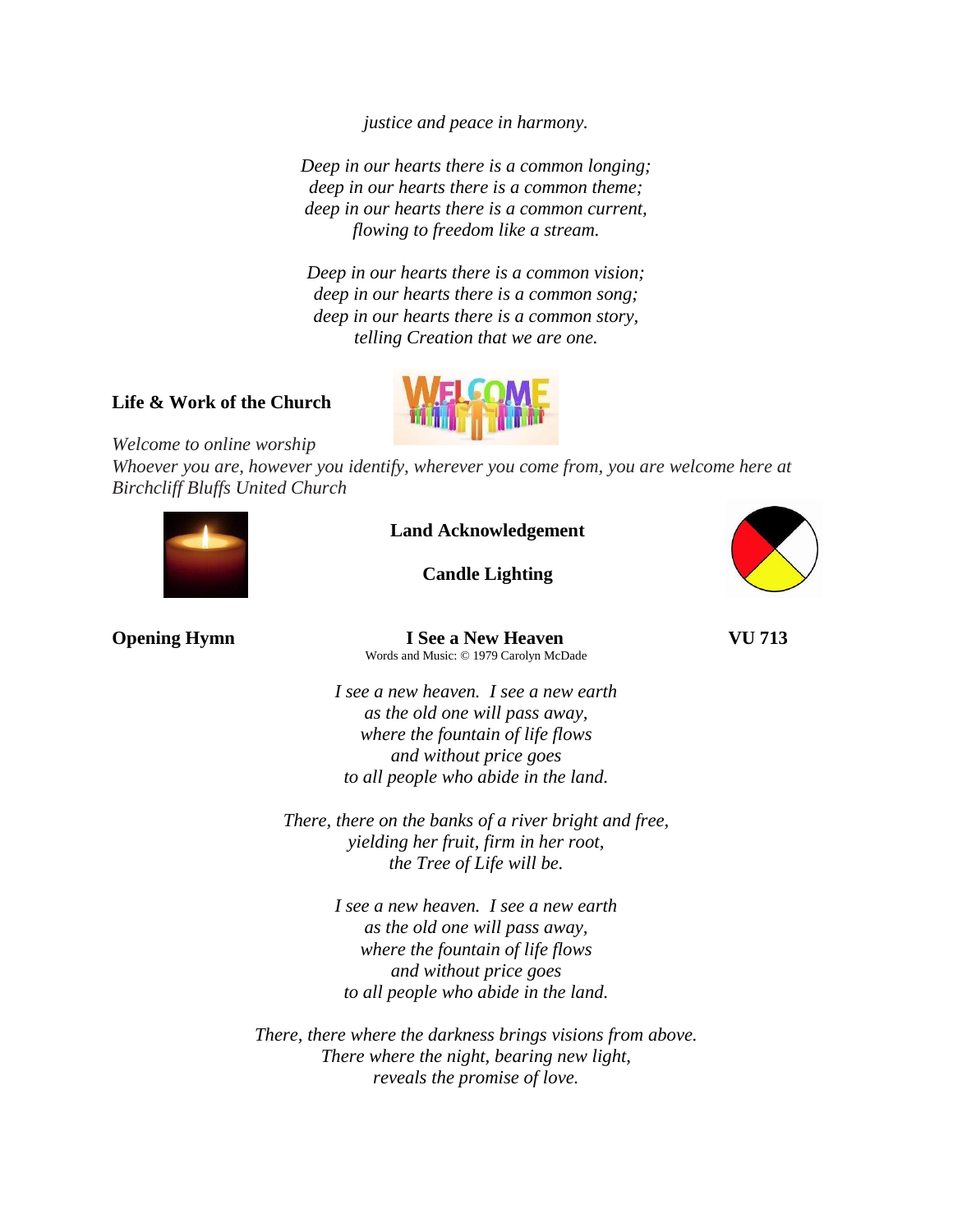*justice and peace in harmony.*

*Deep in our hearts there is a common longing; deep in our hearts there is a common theme; deep in our hearts there is a common current, flowing to freedom like a stream.*

*Deep in our hearts there is a common vision; deep in our hearts there is a common song; deep in our hearts there is a common story, telling Creation that we are one.*

# **Life & Work of the Church**



*Welcome to online worship*

*Whoever you are, however you identify, wherever you come from, you are welcome here at Birchcliff Bluffs United Church*



**Land Acknowledgement**

**Candle Lighting**



**Opening Hymn I** See a New Heaven **VU** 713 Words and Music: © 1979 Carolyn McDade

> *I see a new heaven. I see a new earth as the old one will pass away, where the fountain of life flows and without price goes to all people who abide in the land.*

*There, there on the banks of a river bright and free, yielding her fruit, firm in her root, the Tree of Life will be.*

> *I see a new heaven. I see a new earth as the old one will pass away, where the fountain of life flows and without price goes to all people who abide in the land.*

*There, there where the darkness brings visions from above. There where the night, bearing new light, reveals the promise of love.*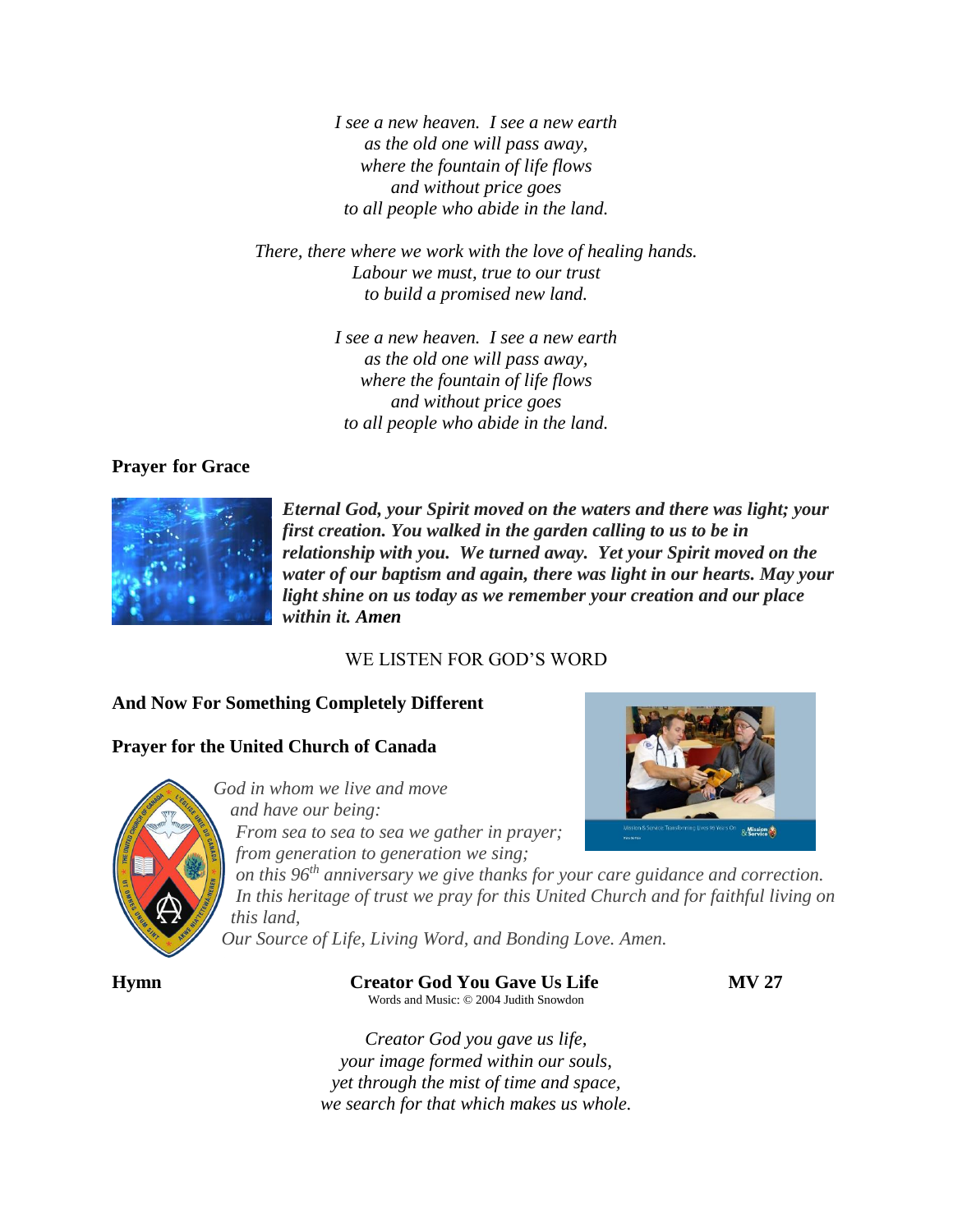*I see a new heaven. I see a new earth as the old one will pass away, where the fountain of life flows and without price goes to all people who abide in the land.*

*There, there where we work with the love of healing hands. Labour we must, true to our trust to build a promised new land.*

> *I see a new heaven. I see a new earth as the old one will pass away, where the fountain of life flows and without price goes to all people who abide in the land.*

## **Prayer for Grace**



*Eternal God, your Spirit moved on the waters and there was light; your first creation. You walked in the garden calling to us to be in relationship with you. We turned away. Yet your Spirit moved on the water of our baptism and again, there was light in our hearts. May your light shine on us today as we remember your creation and our place within it. Amen*

## WE LISTEN FOR GOD'S WORD

## **And Now For Something Completely Different**

# **Prayer for the United Church of Canada**



*God in whom we live and move and have our being: From sea to sea to sea we gather in prayer; from generation to generation we sing;*

& Mission

*on this 96th anniversary we give thanks for your care guidance and correction. In this heritage of trust we pray for this United Church and for faithful living on this land,*

*Our Source of Life, Living Word, and Bonding Love. Amen.*

**Hymn Creator God You Gave Us Life MV 27** Words and Music: © 2004 Judith Snowdon

*Creator God you gave us life, your image formed within our souls, yet through the mist of time and space, we search for that which makes us whole.*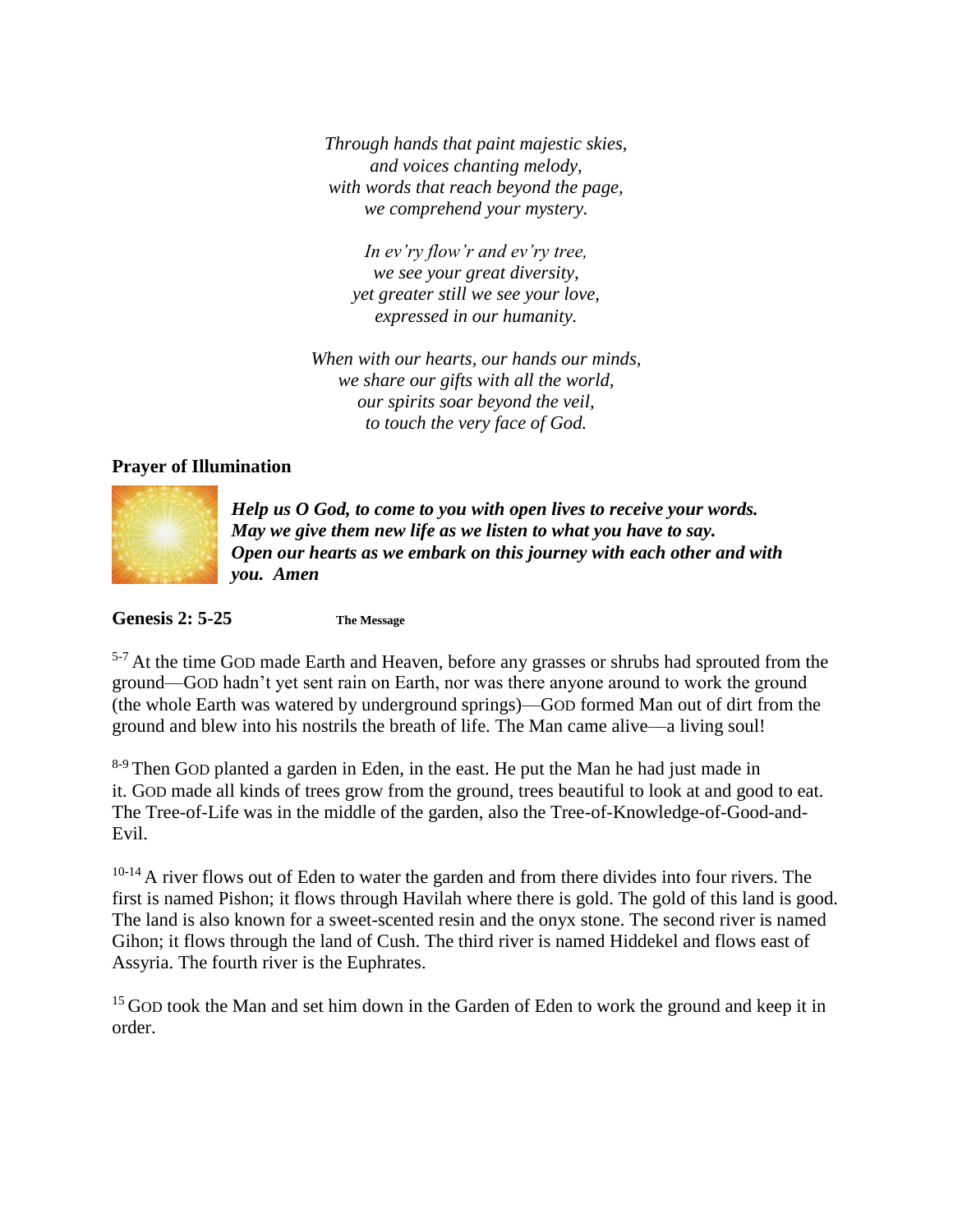*Through hands that paint majestic skies, and voices chanting melody, with words that reach beyond the page, we comprehend your mystery.*

*In ev'ry flow'r and ev'ry tree, we see your great diversity, yet greater still we see your love, expressed in our humanity.*

*When with our hearts, our hands our minds, we share our gifts with all the world, our spirits soar beyond the veil, to touch the very face of God.*

## **Prayer of Illumination**



*Help us O God, to come to you with open lives to receive your words. May we give them new life as we listen to what you have to say. Open our hearts as we embark on this journey with each other and with you. Amen*

**Genesis 2: 5-25 The Message**

<sup>5-7</sup> At the time GOD made Earth and Heaven, before any grasses or shrubs had sprouted from the ground—GOD hadn't yet sent rain on Earth, nor was there anyone around to work the ground (the whole Earth was watered by underground springs)—GOD formed Man out of dirt from the ground and blew into his nostrils the breath of life. The Man came alive—a living soul!

<sup>8-9</sup> Then GOD planted a garden in Eden, in the east. He put the Man he had just made in it. GOD made all kinds of trees grow from the ground, trees beautiful to look at and good to eat. The Tree-of-Life was in the middle of the garden, also the Tree-of-Knowledge-of-Good-and-Evil.

 $10^{-14}$  A river flows out of Eden to water the garden and from there divides into four rivers. The first is named Pishon; it flows through Havilah where there is gold. The gold of this land is good. The land is also known for a sweet-scented resin and the onyx stone. The second river is named Gihon; it flows through the land of Cush. The third river is named Hiddekel and flows east of Assyria. The fourth river is the Euphrates.

 $15$  GOD took the Man and set him down in the Garden of Eden to work the ground and keep it in order.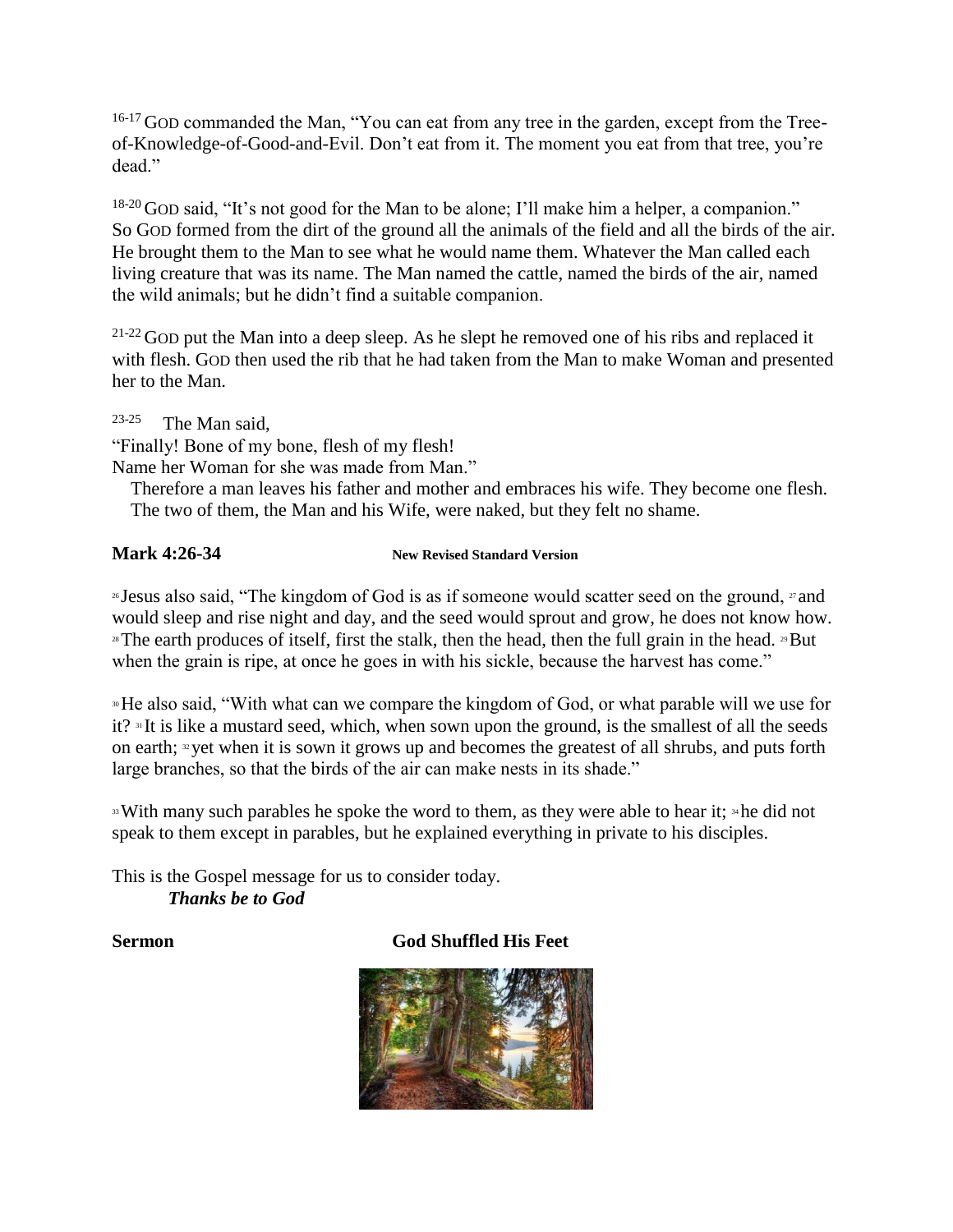<sup>16-17</sup> GOD commanded the Man, "You can eat from any tree in the garden, except from the Treeof-Knowledge-of-Good-and-Evil. Don't eat from it. The moment you eat from that tree, you're dead"

<sup>18-20</sup> GOD said, "It's not good for the Man to be alone; I'll make him a helper, a companion." So GOD formed from the dirt of the ground all the animals of the field and all the birds of the air. He brought them to the Man to see what he would name them. Whatever the Man called each living creature that was its name. The Man named the cattle, named the birds of the air, named the wild animals; but he didn't find a suitable companion.

 $21-22$  GOD put the Man into a deep sleep. As he slept he removed one of his ribs and replaced it with flesh. GOD then used the rib that he had taken from the Man to make Woman and presented her to the Man.

23-25 The Man said,

"Finally! Bone of my bone, flesh of my flesh!

Name her Woman for she was made from Man."

 Therefore a man leaves his father and mother and embraces his wife. They become one flesh. The two of them, the Man and his Wife, were naked, but they felt no shame.

# **Mark 4:26-34 New Revised Standard Version**

<sup>26</sup> Jesus also said, "The kingdom of God is as if someone would scatter seed on the ground, <sup>27</sup> and would sleep and rise night and day, and the seed would sprout and grow, he does not know how. <sup>28</sup>The earth produces of itself, first the stalk, then the head, then the full grain in the head. <sup>29</sup>But when the grain is ripe, at once he goes in with his sickle, because the harvest has come."

<sup>30</sup>He also said, "With what can we compare the kingdom of God, or what parable will we use for it? <sup>31</sup> It is like a mustard seed, which, when sown upon the ground, is the smallest of all the seeds on earth;  $\approx$  yet when it is sown it grows up and becomes the greatest of all shrubs, and puts forth large branches, so that the birds of the air can make nests in its shade."

<sup>33</sup> With many such parables he spoke the word to them, as they were able to hear it; <sup>34</sup> he did not speak to them except in parables, but he explained everything in private to his disciples.

This is the Gospel message for us to consider today. *Thanks be to God*

# **Sermon God Shuffled His Feet**

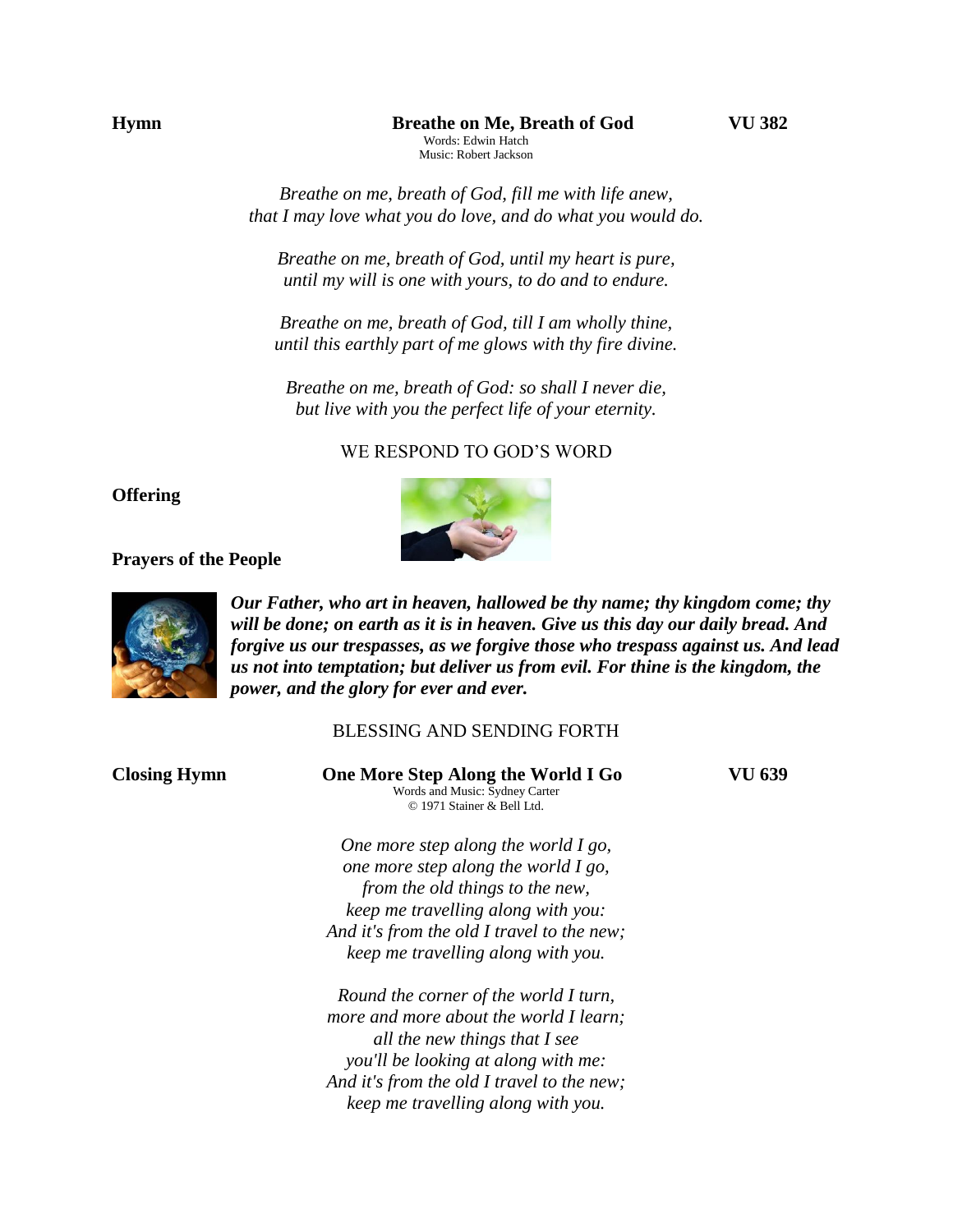*Breathe on me, breath of God, fill me with life anew, that I may love what you do love, and do what you would do.*

*Breathe on me, breath of God, until my heart is pure, until my will is one with yours, to do and to endure.*

*Breathe on me, breath of God, till I am wholly thine, until this earthly part of me glows with thy fire divine.*

*Breathe on me, breath of God: so shall I never die, but live with you the perfect life of your eternity.*

WE RESPOND TO GOD'S WORD

## **Offering**

### **Prayers of the People**



*Our Father, who art in heaven, hallowed be thy name; thy kingdom come; thy will be done; on earth as it is in heaven. Give us this day our daily bread. And forgive us our trespasses, as we forgive those who trespass against us. And lead us not into temptation; but deliver us from evil. For thine is the kingdom, the power, and the glory for ever and ever.* 

## BLESSING AND SENDING FORTH

| <b>Closing Hymn</b> | One More Step Along the World I Go<br>Words and Music: Sydney Carter<br>© 1971 Stainer & Bell Ltd.                                                                                                                                          | VU 639 |
|---------------------|---------------------------------------------------------------------------------------------------------------------------------------------------------------------------------------------------------------------------------------------|--------|
|                     | One more step along the world $I$ go,<br>one more step along the world I go,<br>from the old things to the new,<br>keep me travelling along with you:                                                                                       |        |
|                     | And it's from the old I travel to the new;<br>keep me travelling along with you.                                                                                                                                                            |        |
|                     | Round the corner of the world I turn,<br>more and more about the world I learn;<br>all the new things that I see<br>you'll be looking at along with me:<br>And it's from the old I travel to the new;<br>keep me travelling along with you. |        |

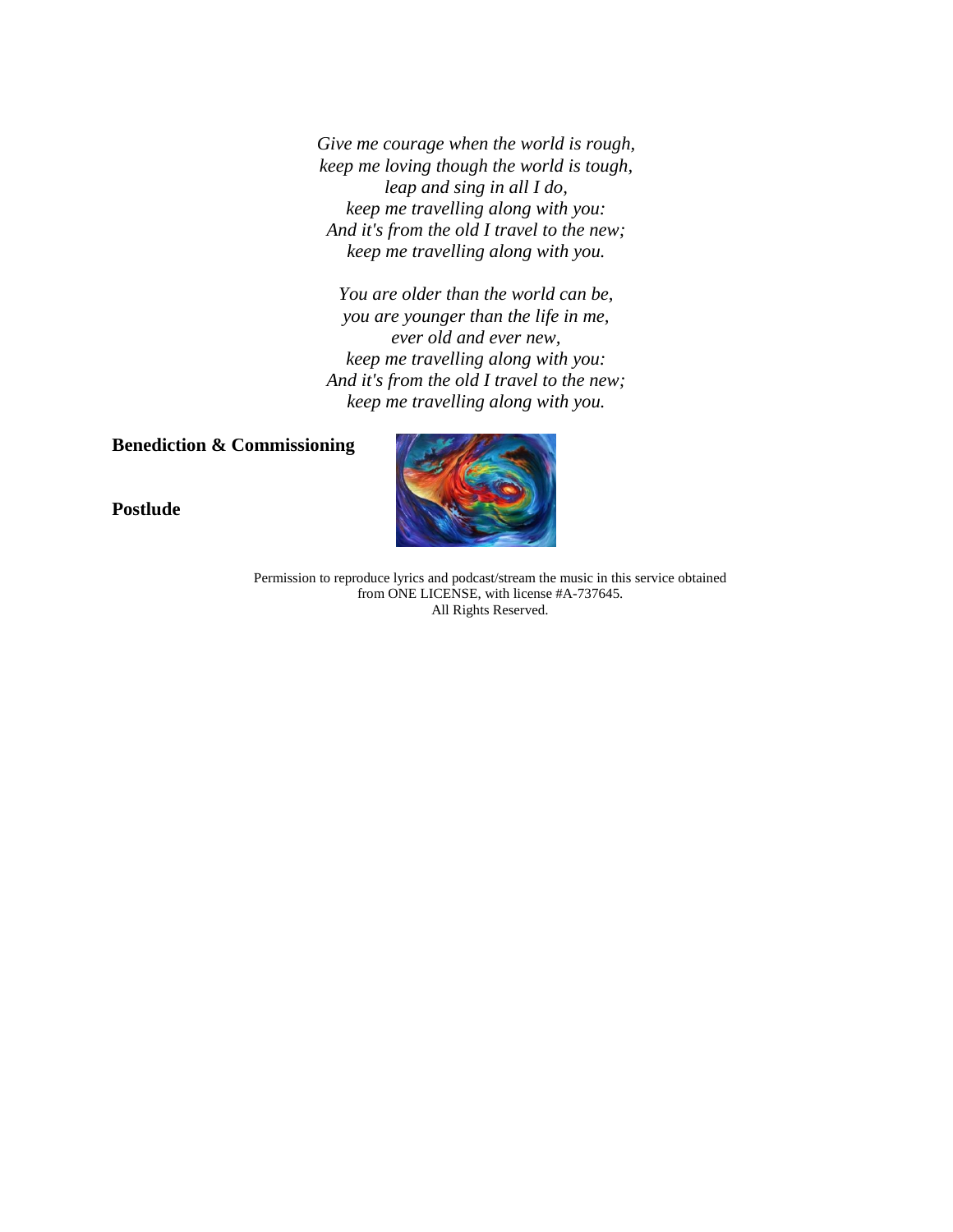*Give me courage when the world is rough, keep me loving though the world is tough, leap and sing in all I do, keep me travelling along with you: And it's from the old I travel to the new; keep me travelling along with you.*

*You are older than the world can be, you are younger than the life in me, ever old and ever new, keep me travelling along with you: And it's from the old I travel to the new; keep me travelling along with you.*

# **Benediction & Commissioning**

**Postlude** 



Permission to reproduce lyrics and podcast/stream the music in this service obtained from ONE LICENSE, with license #A-737645. All Rights Reserved.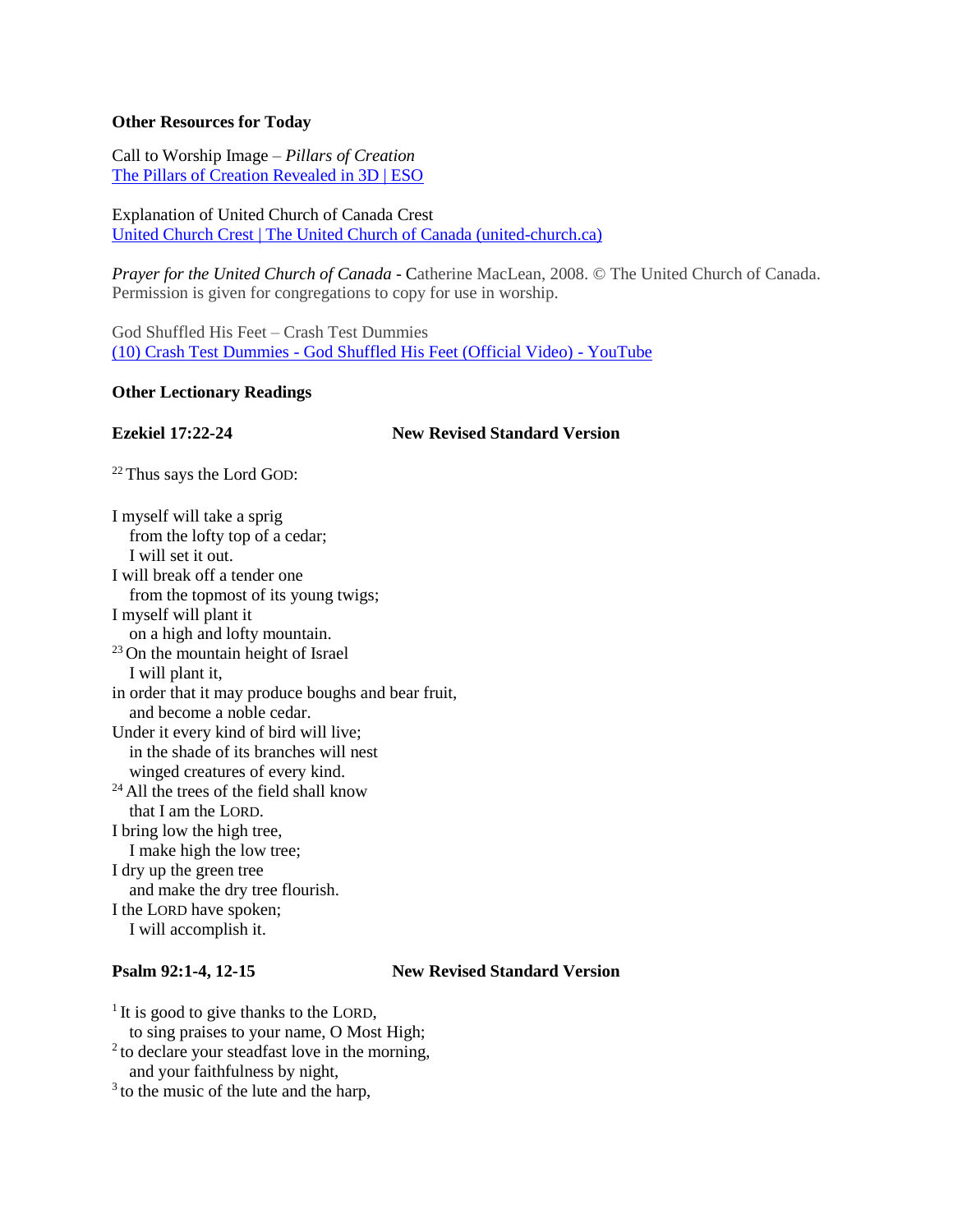### **Other Resources for Today**

Call to Worship Image *– Pillars of Creation* [The Pillars of Creation Revealed in 3D | ESO](https://www.eso.org/public/news/eso1518/)

Explanation of United Church of Canada Crest [United Church Crest | The United Church of Canada \(united-church.ca\)](https://united-church.ca/community-and-faith/welcome-united-church-canada/united-church-crest)

*Prayer for the United Church of Canada* - Catherine MacLean, 2008. © The United Church of Canada. Permission is given for congregations to copy for use in worship.

God Shuffled His Feet – Crash Test Dummies (10) Crash Test Dummies - [God Shuffled His Feet \(Official Video\) -](https://www.youtube.com/watch?v=0aqlS9SOkjs) YouTube

### **Other Lectionary Readings**

**Ezekiel 17:22-24 New Revised Standard Version**

<sup>22</sup> Thus says the Lord GOD:

I myself will take a sprig from the lofty top of a cedar; I will set it out. I will break off a tender one from the topmost of its young twigs; I myself will plant it on a high and lofty mountain. <sup>23</sup> On the mountain height of Israel I will plant it, in order that it may produce boughs and bear fruit, and become a noble cedar. Under it every kind of bird will live; in the shade of its branches will nest winged creatures of every kind. <sup>24</sup> All the trees of the field shall know that I am the LORD. I bring low the high tree, I make high the low tree; I dry up the green tree and make the dry tree flourish. I the LORD have spoken; I will accomplish it.

### **Psalm 92:1-4, 12-15 New Revised Standard Version**

<sup>1</sup> It is good to give thanks to the LORD, to sing praises to your name, O Most High; <sup>2</sup> to declare your steadfast love in the morning, and your faithfulness by night,

<sup>3</sup> to the music of the lute and the harp,